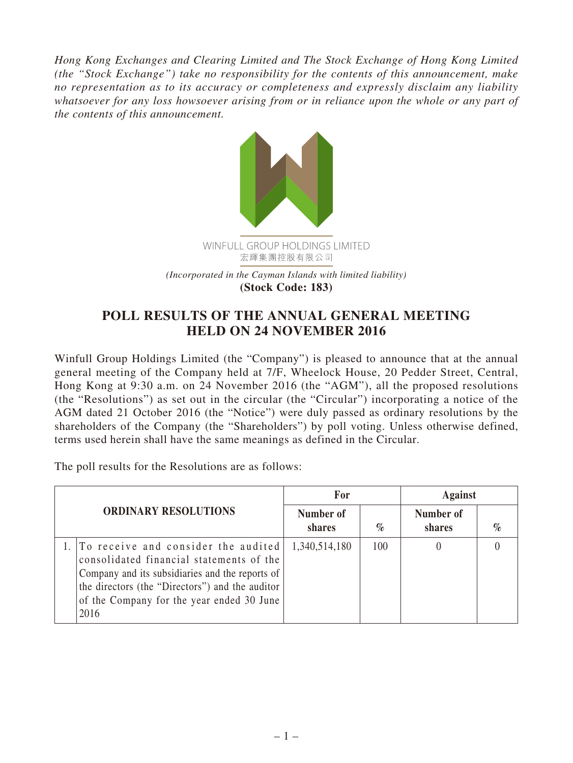*Hong Kong Exchanges and Clearing Limited and The Stock Exchange of Hong Kong Limited (the "Stock Exchange") take no responsibility for the contents of this announcement, make no representation as to its accuracy or completeness and expressly disclaim any liability whatsoever for any loss howsoever arising from or in reliance upon the whole or any part of the contents of this announcement.*



## **POLL RESULTS OF THE ANNUAL GENERAL MEETING HELD ON 24 NOVEMBER 2016**

Winfull Group Holdings Limited (the "Company") is pleased to announce that at the annual general meeting of the Company held at 7/F, Wheelock House, 20 Pedder Street, Central, Hong Kong at 9:30 a.m. on 24 November 2016 (the "AGM"), all the proposed resolutions (the "Resolutions") as set out in the circular (the "Circular") incorporating a notice of the AGM dated 21 October 2016 (the "Notice") were duly passed as ordinary resolutions by the shareholders of the Company (the "Shareholders") by poll voting. Unless otherwise defined, terms used herein shall have the same meanings as defined in the Circular.

The poll results for the Resolutions are as follows:

| <b>ORDINARY RESOLUTIONS</b> |                                                                                                                                                                                                                                               | For                 |      | <b>Against</b>      |      |
|-----------------------------|-----------------------------------------------------------------------------------------------------------------------------------------------------------------------------------------------------------------------------------------------|---------------------|------|---------------------|------|
|                             |                                                                                                                                                                                                                                               | Number of<br>shares | $\%$ | Number of<br>shares | $\%$ |
|                             | 1. To receive and consider the audited<br>consolidated financial statements of the<br>Company and its subsidiaries and the reports of<br>the directors (the "Directors") and the auditor<br>of the Company for the year ended 30 June<br>2016 | 1,340,514,180       | 100  |                     |      |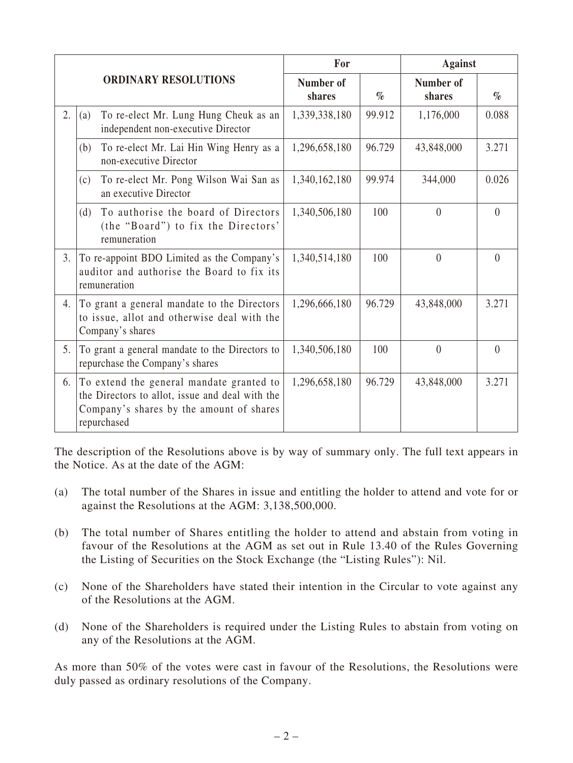|                |                                                                                                                                                        | For                 |        | <b>Against</b>      |          |
|----------------|--------------------------------------------------------------------------------------------------------------------------------------------------------|---------------------|--------|---------------------|----------|
|                | <b>ORDINARY RESOLUTIONS</b>                                                                                                                            | Number of<br>shares | $\%$   | Number of<br>shares | $\%$     |
| 2.             | To re-elect Mr. Lung Hung Cheuk as an<br>(a)<br>independent non-executive Director                                                                     | 1,339,338,180       | 99.912 | 1,176,000           | 0.088    |
|                | To re-elect Mr. Lai Hin Wing Henry as a<br>(b)<br>non-executive Director                                                                               | 1,296,658,180       | 96.729 | 43,848,000          | 3.271    |
|                | To re-elect Mr. Pong Wilson Wai San as<br>(c)<br>an executive Director                                                                                 | 1,340,162,180       | 99.974 | 344,000             | 0.026    |
|                | To authorise the board of Directors<br>(d)<br>(the "Board") to fix the Directors'<br>remuneration                                                      | 1,340,506,180       | 100    | $\theta$            | $\theta$ |
| 3 <sub>1</sub> | To re-appoint BDO Limited as the Company's<br>auditor and authorise the Board to fix its<br>remuneration                                               | 1,340,514,180       | 100    | $\theta$            | $\theta$ |
| 4.             | To grant a general mandate to the Directors<br>to issue, allot and otherwise deal with the<br>Company's shares                                         | 1,296,666,180       | 96.729 | 43,848,000          | 3.271    |
| 5.             | To grant a general mandate to the Directors to<br>repurchase the Company's shares                                                                      | 1,340,506,180       | 100    | $\theta$            | $\theta$ |
| 6.             | To extend the general mandate granted to<br>the Directors to allot, issue and deal with the<br>Company's shares by the amount of shares<br>repurchased | 1,296,658,180       | 96.729 | 43,848,000          | 3.271    |

The description of the Resolutions above is by way of summary only. The full text appears in the Notice. As at the date of the AGM:

- (a) The total number of the Shares in issue and entitling the holder to attend and vote for or against the Resolutions at the AGM: 3,138,500,000.
- (b) The total number of Shares entitling the holder to attend and abstain from voting in favour of the Resolutions at the AGM as set out in Rule 13.40 of the Rules Governing the Listing of Securities on the Stock Exchange (the "Listing Rules"): Nil.
- (c) None of the Shareholders have stated their intention in the Circular to vote against any of the Resolutions at the AGM.
- (d) None of the Shareholders is required under the Listing Rules to abstain from voting on any of the Resolutions at the AGM.

As more than 50% of the votes were cast in favour of the Resolutions, the Resolutions were duly passed as ordinary resolutions of the Company.